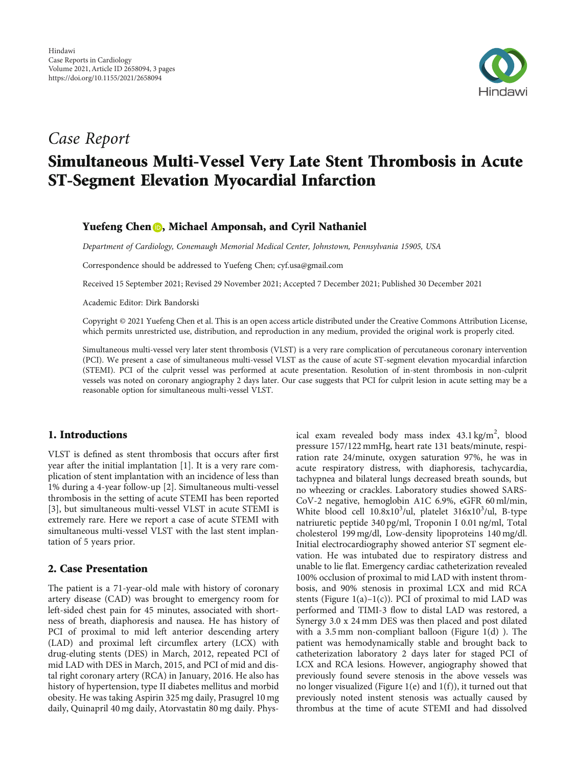

# Case Report Simultaneous Multi-Vessel Very Late Stent Thrombosis in Acute ST-Segment Elevation Myocardial Infarction

## Yuefeng Chen **D**, Michael Amponsah, and Cyril Nathaniel

Department of Cardiology, Conemaugh Memorial Medical Center, Johnstown, Pennsylvania 15905, USA

Correspondence should be addressed to Yuefeng Chen; cyf.usa@gmail.com

Received 15 September 2021; Revised 29 November 2021; Accepted 7 December 2021; Published 30 December 2021

Academic Editor: Dirk Bandorski

Copyright © 2021 Yuefeng Chen et al. This is an open access article distributed under the [Creative Commons Attribution License](https://creativecommons.org/licenses/by/4.0/), which permits unrestricted use, distribution, and reproduction in any medium, provided the original work is properly cited.

Simultaneous multi-vessel very later stent thrombosis (VLST) is a very rare complication of percutaneous coronary intervention (PCI). We present a case of simultaneous multi-vessel VLST as the cause of acute ST-segment elevation myocardial infarction (STEMI). PCI of the culprit vessel was performed at acute presentation. Resolution of in-stent thrombosis in non-culprit vessels was noted on coronary angiography 2 days later. Our case suggests that PCI for culprit lesion in acute setting may be a reasonable option for simultaneous multi-vessel VLST.

## 1. Introductions

VLST is defined as stent thrombosis that occurs after first year after the initial implantation [\[1](#page-2-0)]. It is a very rare complication of stent implantation with an incidence of less than 1% during a 4-year follow-up [[2](#page-2-0)]. Simultaneous multi-vessel thrombosis in the setting of acute STEMI has been reported [\[3](#page-2-0)], but simultaneous multi-vessel VLST in acute STEMI is extremely rare. Here we report a case of acute STEMI with simultaneous multi-vessel VLST with the last stent implantation of 5 years prior.

#### 2. Case Presentation

The patient is a 71-year-old male with history of coronary artery disease (CAD) was brought to emergency room for left-sided chest pain for 45 minutes, associated with shortness of breath, diaphoresis and nausea. He has history of PCI of proximal to mid left anterior descending artery (LAD) and proximal left circumflex artery (LCX) with drug-eluting stents (DES) in March, 2012, repeated PCI of mid LAD with DES in March, 2015, and PCI of mid and distal right coronary artery (RCA) in January, 2016. He also has history of hypertension, type II diabetes mellitus and morbid obesity. He was taking Aspirin 325 mg daily, Prasugrel 10 mg daily, Quinapril 40 mg daily, Atorvastatin 80 mg daily. Phys-

ical exam revealed body mass index 43.1 kg/m<sup>2</sup>, blood pressure 157/122 mmHg, heart rate 131 beats/minute, respiration rate 24/minute, oxygen saturation 97%, he was in acute respiratory distress, with diaphoresis, tachycardia, tachypnea and bilateral lungs decreased breath sounds, but no wheezing or crackles. Laboratory studies showed SARS-CoV-2 negative, hemoglobin A1C 6.9%, eGFR 60 ml/min, White blood cell 10.8x10<sup>3</sup>/ul, platelet 316x10<sup>3</sup>/ul, B-type natriuretic peptide 340 pg/ml, Troponin I 0.01 ng/ml, Total cholesterol 199 mg/dl, Low-density lipoproteins 140 mg/dl. Initial electrocardiography showed anterior ST segment elevation. He was intubated due to respiratory distress and unable to lie flat. Emergency cardiac catheterization revealed 100% occlusion of proximal to mid LAD with instent thrombosis, and 90% stenosis in proximal LCX and mid RCA stents (Figure  $1(a)-1(c)$  $1(a)-1(c)$ ). PCI of proximal to mid LAD was performed and TIMI-3 flow to distal LAD was restored, a Synergy 3.0 x 24 mm DES was then placed and post dilated with a 3.5 mm non-compliant balloon (Figure [1\(d\)](#page-1-0) ). The patient was hemodynamically stable and brought back to catheterization laboratory 2 days later for staged PCI of LCX and RCA lesions. However, angiography showed that previously found severe stenosis in the above vessels was no longer visualized (Figure [1\(e\)](#page-1-0) and [1\(f\)](#page-1-0)), it turned out that previously noted instent stenosis was actually caused by thrombus at the time of acute STEMI and had dissolved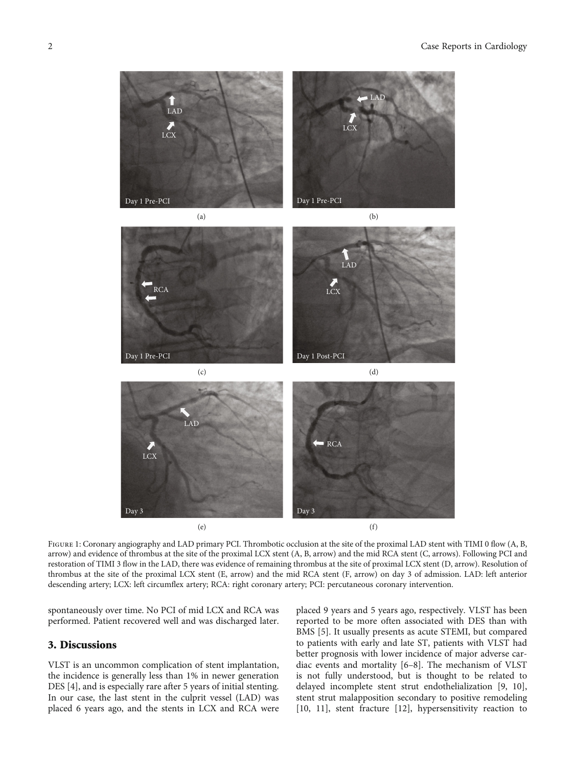<span id="page-1-0"></span>

FIGURE 1: Coronary angiography and LAD primary PCI. Thrombotic occlusion at the site of the proximal LAD stent with TIMI 0 flow (A, B, arrow) and evidence of thrombus at the site of the proximal LCX stent (A, B, arrow) and the mid RCA stent (C, arrows). Following PCI and restoration of TIMI 3 flow in the LAD, there was evidence of remaining thrombus at the site of proximal LCX stent (D, arrow). Resolution of thrombus at the site of the proximal LCX stent (E, arrow) and the mid RCA stent (F, arrow) on day 3 of admission. LAD: left anterior descending artery; LCX: left circumflex artery; RCA: right coronary artery; PCI: percutaneous coronary intervention.

spontaneously over time. No PCI of mid LCX and RCA was performed. Patient recovered well and was discharged later.

## 3. Discussions

VLST is an uncommon complication of stent implantation, the incidence is generally less than 1% in newer generation DES [\[4](#page-2-0)], and is especially rare after 5 years of initial stenting. In our case, the last stent in the culprit vessel (LAD) was placed 6 years ago, and the stents in LCX and RCA were

placed 9 years and 5 years ago, respectively. VLST has been reported to be more often associated with DES than with BMS [[5\]](#page-2-0). It usually presents as acute STEMI, but compared to patients with early and late ST, patients with VLST had better prognosis with lower incidence of major adverse cardiac events and mortality [\[6](#page-2-0)–[8](#page-2-0)]. The mechanism of VLST is not fully understood, but is thought to be related to delayed incomplete stent strut endothelialization [[9](#page-2-0), [10](#page-2-0)], stent strut malapposition secondary to positive remodeling [\[10, 11](#page-2-0)], stent fracture [\[12\]](#page-2-0), hypersensitivity reaction to